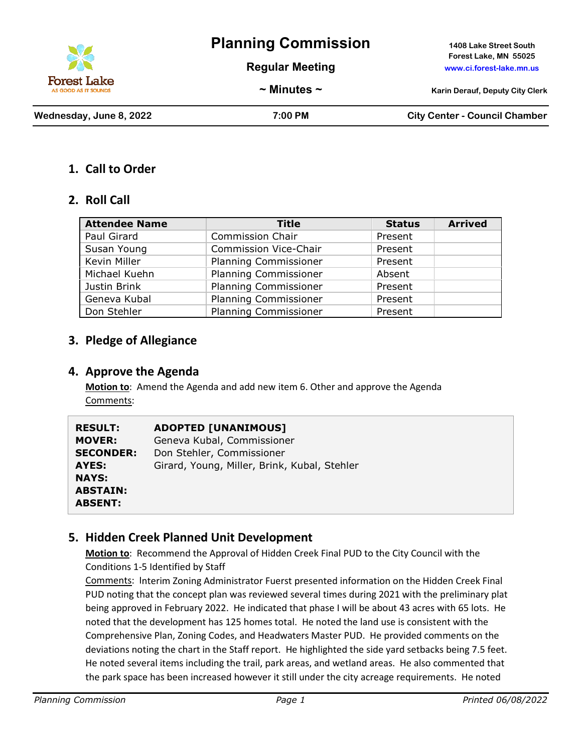

# **Planning Commission 1408 Lake Street South**

**Regular Meeting www.ci.forest-lake.mn.us**

**Forest Lake, MN 55025**

**~ Minutes ~ Karin Derauf, Deputy City Clerk**

**Wednesday, June 8, 2022 7:00 PM City Center - Council Chamber**

### **1. Call to Order**

#### **2. Roll Call**

| <b>Attendee Name</b> | <b>Title</b>                 | <b>Status</b> | <b>Arrived</b> |
|----------------------|------------------------------|---------------|----------------|
| Paul Girard          | <b>Commission Chair</b>      | Present       |                |
| Susan Young          | <b>Commission Vice-Chair</b> | Present       |                |
| Kevin Miller         | <b>Planning Commissioner</b> | Present       |                |
| Michael Kuehn        | <b>Planning Commissioner</b> | Absent        |                |
| Justin Brink         | <b>Planning Commissioner</b> | Present       |                |
| Geneva Kubal         | <b>Planning Commissioner</b> | Present       |                |
| Don Stehler          | <b>Planning Commissioner</b> | Present       |                |

## **3. Pledge of Allegiance**

#### **4. Approve the Agenda**

**Motion to**: Amend the Agenda and add new item 6. Other and approve the Agenda Comments:

| <b>RESULT:</b>   | <b>ADOPTED [UNANIMOUS]</b>                   |
|------------------|----------------------------------------------|
| <b>MOVER:</b>    | Geneva Kubal, Commissioner                   |
| <b>SECONDER:</b> | Don Stehler, Commissioner                    |
| AYES:            | Girard, Young, Miller, Brink, Kubal, Stehler |
| <b>NAYS:</b>     |                                              |
| <b>ABSTAIN:</b>  |                                              |
| <b>ABSENT:</b>   |                                              |

#### **5. Hidden Creek Planned Unit Development**

**Motion to**: Recommend the Approval of Hidden Creek Final PUD to the City Council with the Conditions 1-5 Identified by Staff

Comments: Interim Zoning Administrator Fuerst presented information on the Hidden Creek Final PUD noting that the concept plan was reviewed several times during 2021 with the preliminary plat being approved in February 2022. He indicated that phase I will be about 43 acres with 65 lots. He noted that the development has 125 homes total. He noted the land use is consistent with the Comprehensive Plan, Zoning Codes, and Headwaters Master PUD. He provided comments on the deviations noting the chart in the Staff report. He highlighted the side yard setbacks being 7.5 feet. He noted several items including the trail, park areas, and wetland areas. He also commented that the park space has been increased however it still under the city acreage requirements. He noted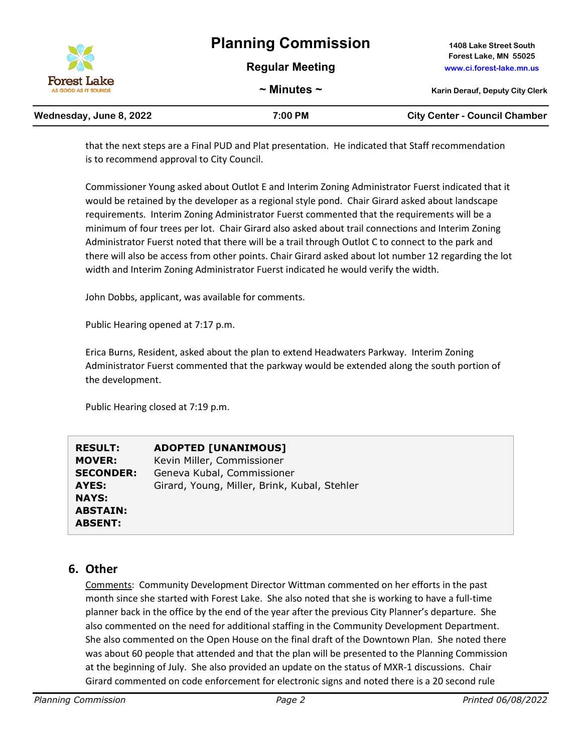# **Planning Commission 1408 Lake Street South**



**Regular Meeting www.ci.forest-lake.mn.us**

**~ Minutes ~ Karin Derauf, Deputy City Clerk**

**Wednesday, June 8, 2022 7:00 PM City Center - Council Chamber**

| Wednesday, June 8, 2022 |  |  |
|-------------------------|--|--|
|-------------------------|--|--|

that the next steps are a Final PUD and Plat presentation. He indicated that Staff recommendation

is to recommend approval to City Council.

Commissioner Young asked about Outlot E and Interim Zoning Administrator Fuerst indicated that it would be retained by the developer as a regional style pond. Chair Girard asked about landscape requirements. Interim Zoning Administrator Fuerst commented that the requirements will be a minimum of four trees per lot. Chair Girard also asked about trail connections and Interim Zoning Administrator Fuerst noted that there will be a trail through Outlot C to connect to the park and there will also be access from other points. Chair Girard asked about lot number 12 regarding the lot width and Interim Zoning Administrator Fuerst indicated he would verify the width.

John Dobbs, applicant, was available for comments.

Public Hearing opened at 7:17 p.m.

Erica Burns, Resident, asked about the plan to extend Headwaters Parkway. Interim Zoning Administrator Fuerst commented that the parkway would be extended along the south portion of the development.

Public Hearing closed at 7:19 p.m.

| <b>RESULT:</b>   | <b>ADOPTED [UNANIMOUS]</b>                   |
|------------------|----------------------------------------------|
| <b>MOVER:</b>    | Kevin Miller, Commissioner                   |
| <b>SECONDER:</b> | Geneva Kubal, Commissioner                   |
| AYES:            | Girard, Young, Miller, Brink, Kubal, Stehler |
| <b>NAYS:</b>     |                                              |
| <b>ABSTAIN:</b>  |                                              |
| <b>ABSENT:</b>   |                                              |

### **6. Other**

Comments: Community Development Director Wittman commented on her efforts in the past month since she started with Forest Lake. She also noted that she is working to have a full-time planner back in the office by the end of the year after the previous City Planner's departure. She also commented on the need for additional staffing in the Community Development Department. She also commented on the Open House on the final draft of the Downtown Plan. She noted there was about 60 people that attended and that the plan will be presented to the Planning Commission at the beginning of July. She also provided an update on the status of MXR-1 discussions. Chair Girard commented on code enforcement for electronic signs and noted there is a 20 second rule